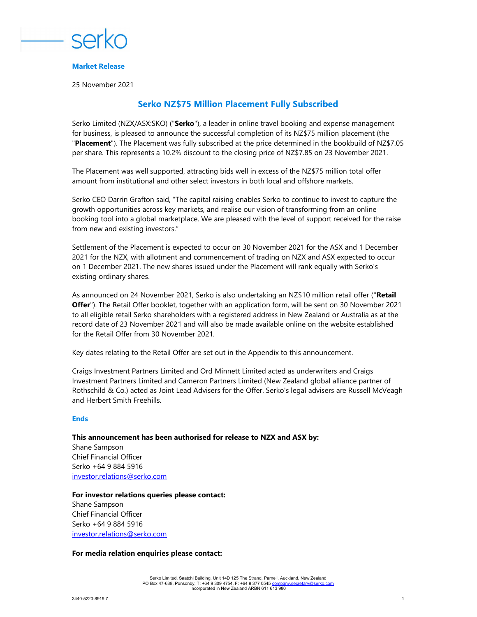

### Market Release

25 November 2021

# Serko NZ\$75 Million Placement Fully Subscribed

Serko Limited (NZX/ASX:SKO) ("Serko"), a leader in online travel booking and expense management for business, is pleased to announce the successful completion of its NZ\$75 million placement (the "Placement"). The Placement was fully subscribed at the price determined in the bookbuild of NZ\$7.05 per share. This represents a 10.2% discount to the closing price of NZ\$7.85 on 23 November 2021.

The Placement was well supported, attracting bids well in excess of the NZ\$75 million total offer amount from institutional and other select investors in both local and offshore markets.

Serko CEO Darrin Grafton said, "The capital raising enables Serko to continue to invest to capture the growth opportunities across key markets, and realise our vision of transforming from an online booking tool into a global marketplace. We are pleased with the level of support received for the raise from new and existing investors."

Settlement of the Placement is expected to occur on 30 November 2021 for the ASX and 1 December 2021 for the NZX, with allotment and commencement of trading on NZX and ASX expected to occur on 1 December 2021. The new shares issued under the Placement will rank equally with Serko's existing ordinary shares.

As announced on 24 November 2021, Serko is also undertaking an NZ\$10 million retail offer ("Retail Offer"). The Retail Offer booklet, together with an application form, will be sent on 30 November 2021 to all eligible retail Serko shareholders with a registered address in New Zealand or Australia as at the record date of 23 November 2021 and will also be made available online on the website established for the Retail Offer from 30 November 2021.

Key dates relating to the Retail Offer are set out in the Appendix to this announcement.

Craigs Investment Partners Limited and Ord Minnett Limited acted as underwriters and Craigs Investment Partners Limited and Cameron Partners Limited (New Zealand global alliance partner of Rothschild & Co.) acted as Joint Lead Advisers for the Offer. Serko's legal advisers are Russell McVeagh and Herbert Smith Freehills.

### **Ends**

## This announcement has been authorised for release to NZX and ASX by: Shane Sampson Chief Financial Officer Serko +64 9 884 5916

investor.relations@serko.com

### For investor relations queries please contact:

Shane Sampson Chief Financial Officer Serko +64 9 884 5916 investor.relations@serko.com

#### For media relation enquiries please contact: